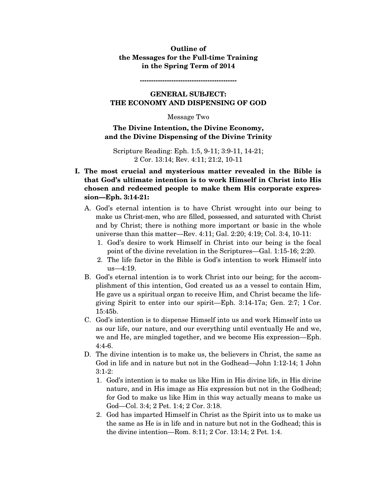# **Outline of the Messages for the Full-time Training in the Spring Term of 2014**

**-------------------------------------------** 

# **GENERAL SUBJECT: THE ECONOMY AND DISPENSING OF GOD**

#### Message Two

### **The Divine Intention, the Divine Economy, and the Divine Dispensing of the Divine Trinity**

Scripture Reading: Eph. 1:5, 9-11; 3:9-11, 14-21; 2 Cor. 13:14; Rev. 4:11; 21:2, 10-11

- **I. The most crucial and mysterious matter revealed in the Bible is that God's ultimate intention is to work Himself in Christ into His chosen and redeemed people to make them His corporate expression—Eph. 3:14-21:** 
	- A. God's eternal intention is to have Christ wrought into our being to make us Christ-men, who are filled, possessed, and saturated with Christ and by Christ; there is nothing more important or basic in the whole universe than this matter—Rev. 4:11; Gal. 2:20; 4:19; Col. 3:4, 10-11:
		- 1. God's desire to work Himself in Christ into our being is the focal point of the divine revelation in the Scriptures—Gal. 1:15-16; 2:20.
		- 2. The life factor in the Bible is God's intention to work Himself into  $us=4:19.$
	- B. God's eternal intention is to work Christ into our being; for the accomplishment of this intention, God created us as a vessel to contain Him, He gave us a spiritual organ to receive Him, and Christ became the lifegiving Spirit to enter into our spirit—Eph. 3:14-17a; Gen. 2:7; 1 Cor. 15:45b.
	- C. God's intention is to dispense Himself into us and work Himself into us as our life, our nature, and our everything until eventually He and we, we and He, are mingled together, and we become His expression—Eph. 4:4-6.
	- D. The divine intention is to make us, the believers in Christ, the same as God in life and in nature but not in the Godhead—John 1:12-14; 1 John 3:1-2:
		- 1. God's intention is to make us like Him in His divine life, in His divine nature, and in His image as His expression but not in the Godhead; for God to make us like Him in this way actually means to make us God—Col. 3:4; 2 Pet. 1:4; 2 Cor. 3:18.
		- 2. God has imparted Himself in Christ as the Spirit into us to make us the same as He is in life and in nature but not in the Godhead; this is the divine intention—Rom. 8:11; 2 Cor. 13:14; 2 Pet. 1:4.